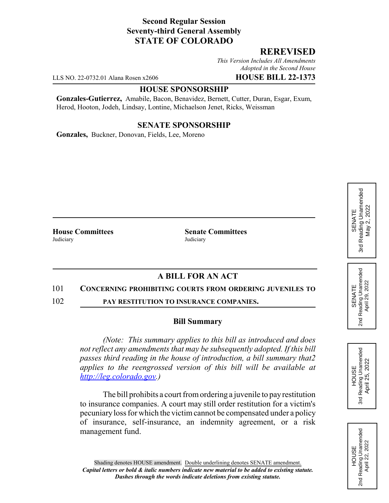## **Second Regular Session Seventy-third General Assembly STATE OF COLORADO**

### **REREVISED**

*This Version Includes All Amendments Adopted in the Second House*

LLS NO. 22-0732.01 Alana Rosen x2606 **HOUSE BILL 22-1373**

#### **HOUSE SPONSORSHIP**

**Gonzales-Gutierrez,** Amabile, Bacon, Benavidez, Bernett, Cutter, Duran, Esgar, Exum, Herod, Hooton, Jodeh, Lindsay, Lontine, Michaelson Jenet, Ricks, Weissman

#### **SENATE SPONSORSHIP**

**Gonzales,** Buckner, Donovan, Fields, Lee, Moreno

Judiciary Judiciary

**House Committees Senate Committees**

# **A BILL FOR AN ACT**

#### 101 **CONCERNING PROHIBITING COURTS FROM ORDERING JUVENILES TO**

102 **PAY RESTITUTION TO INSURANCE COMPANIES.**

#### **Bill Summary**

*(Note: This summary applies to this bill as introduced and does not reflect any amendments that may be subsequently adopted. If this bill passes third reading in the house of introduction, a bill summary that2 applies to the reengrossed version of this bill will be available at http://leg.colorado.gov.)*

The bill prohibits a court from ordering a juvenile to pay restitution to insurance companies. A court may still order restitution for a victim's pecuniary loss for which the victim cannot be compensated under a policy of insurance, self-insurance, an indemnity agreement, or a risk management fund.



SENATE 2nd Reading Unamended April 29, 2022

Reading Unamended<br>April 29, 2022

2<sub>nd</sub>